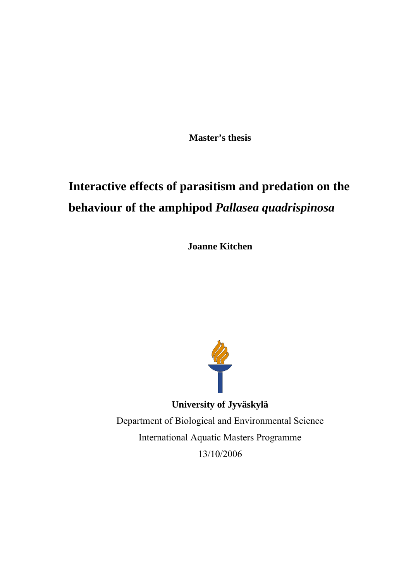**Master's thesis** 

# **Interactive effects of parasitism and predation on the behaviour of the amphipod** *Pallasea quadrispinosa*

**Joanne Kitchen** 



**University of Jyväskylä**  Department of Biological and Environmental Science International Aquatic Masters Programme 13/10/2006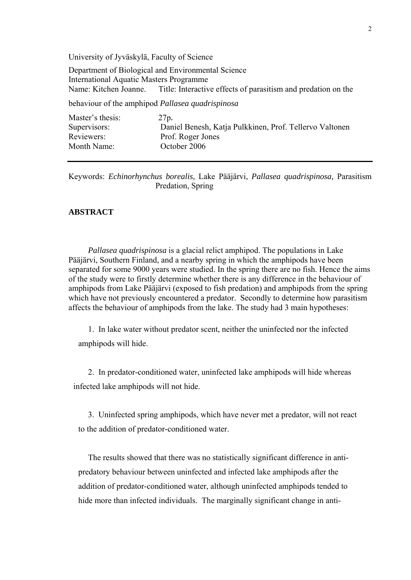University of Jyväskylä, Faculty of Science

Department of Biological and Environmental Science International Aquatic Masters Programme Name: Kitchen Joanne. Title: Interactive effects of parasitism and predation on the behaviour of the amphipod *Pallasea quadrispinosa*

Master's thesis: 27p**.** Supervisors: Daniel Benesh, Katja Pulkkinen, Prof. Tellervo Valtonen Reviewers: Prof. Roger Jones Month Name: October 2006

#### **ABSTRACT**

*Pallasea quadrispinosa* is a glacial relict amphipod. The populations in Lake Pääjärvi, Southern Finland, and a nearby spring in which the amphipods have been separated for some 9000 years were studied. In the spring there are no fish. Hence the aims of the study were to firstly determine whether there is any difference in the behaviour of amphipods from Lake Pääjärvi (exposed to fish predation) and amphipods from the spring which have not previously encountered a predator. Secondly to determine how parasitism affects the behaviour of amphipods from the lake. The study had 3 main hypotheses:

1. In lake water without predator scent, neither the uninfected nor the infected amphipods will hide.

2. In predator-conditioned water, uninfected lake amphipods will hide whereas infected lake amphipods will not hide.

3. Uninfected spring amphipods, which have never met a predator, will not react to the addition of predator-conditioned water.

The results showed that there was no statistically significant difference in antipredatory behaviour between uninfected and infected lake amphipods after the addition of predator-conditioned water, although uninfected amphipods tended to hide more than infected individuals. The marginally significant change in anti-

Keywords: *Echinorhynchus borealis,* Lake Pääjärvi, *Pallasea quadrispinosa,* Parasitism Predation, Spring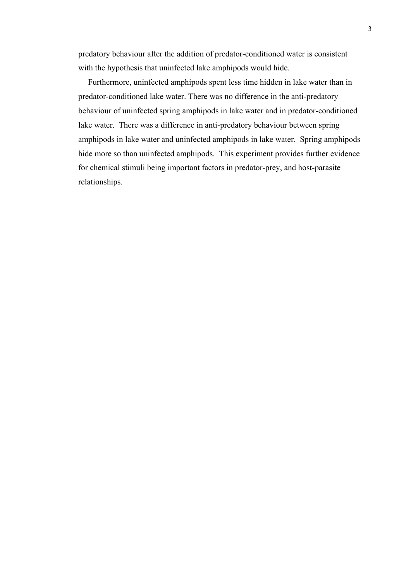predatory behaviour after the addition of predator-conditioned water is consistent with the hypothesis that uninfected lake amphipods would hide.

Furthermore, uninfected amphipods spent less time hidden in lake water than in predator-conditioned lake water. There was no difference in the anti-predatory behaviour of uninfected spring amphipods in lake water and in predator-conditioned lake water. There was a difference in anti-predatory behaviour between spring amphipods in lake water and uninfected amphipods in lake water. Spring amphipods hide more so than uninfected amphipods. This experiment provides further evidence for chemical stimuli being important factors in predator-prey, and host-parasite relationships.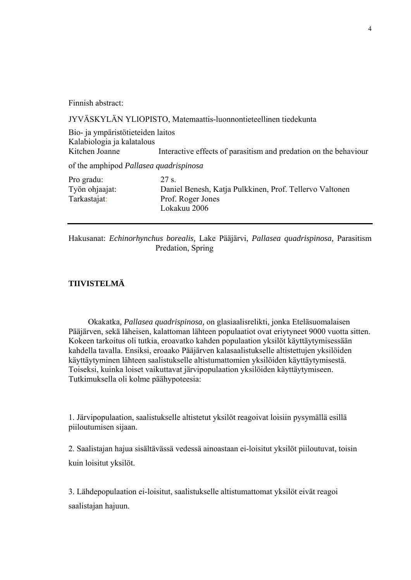Finnish abstract:

JYVÄSKYLÄN YLIOPISTO, Matemaattis-luonnontieteellinen tiedekunta

Bio- ja ympäristötieteiden laitos Kalabiologia ja kalatalous Kitchen Joanne Interactive effects of parasitism and predation on the behaviour

of the amphipod *Pallasea quadrispinosa*

| Pro gradu:     | 27 s                                                    |
|----------------|---------------------------------------------------------|
| Työn ohjaajat: | Daniel Benesh, Katja Pulkkinen, Prof. Tellervo Valtonen |
| Tarkastajat:   | Prof. Roger Jones                                       |
|                | Lokakuu 2006                                            |

Hakusanat: *Echinorhynchus borealis,* Lake Pääjärvi, *Pallasea quadrispinosa,* Parasitism Predation, Spring

# **TIIVISTELMÄ**

Okakatka*, Pallasea quadrispinosa,* on glasiaalisrelikti, jonka Eteläsuomalaisen Pääjärven, sekä läheisen, kalattoman lähteen populaatiot ovat eriytyneet 9000 vuotta sitten. Kokeen tarkoitus oli tutkia, eroavatko kahden populaation yksilöt käyttäytymisessään kahdella tavalla. Ensiksi, eroaako Pääjärven kalasaalistukselle altistettujen yksilöiden käyttäytyminen lähteen saalistukselle altistumattomien yksilöiden käyttäytymisestä. Toiseksi, kuinka loiset vaikuttavat järvipopulaation yksilöiden käyttäytymiseen. Tutkimuksella oli kolme päähypoteesia:

1. Järvipopulaation, saalistukselle altistetut yksilöt reagoivat loisiin pysymällä esillä piiloutumisen sijaan.

2. Saalistajan hajua sisältävässä vedessä ainoastaan ei-loisitut yksilöt piiloutuvat, toisin kuin loisitut yksilöt.

3. Lähdepopulaation ei-loisitut, saalistukselle altistumattomat yksilöt eivät reagoi saalistajan hajuun.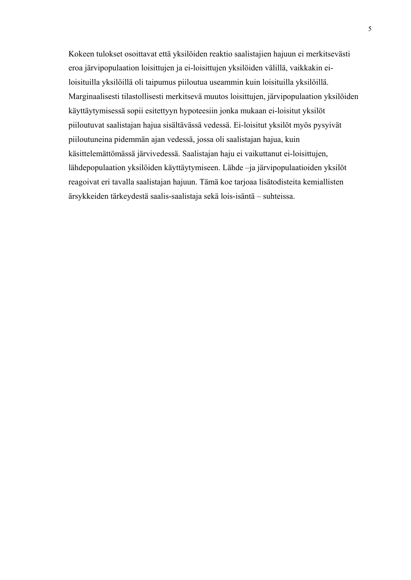Kokeen tulokset osoittavat että yksilöiden reaktio saalistajien hajuun ei merkitsevästi eroa järvipopulaation loisittujen ja ei-loisittujen yksilöiden välillä, vaikkakin eiloisituilla yksilöillä oli taipumus piiloutua useammin kuin loisituilla yksilöillä. Marginaalisesti tilastollisesti merkitsevä muutos loisittujen, järvipopulaation yksilöiden käyttäytymisessä sopii esitettyyn hypoteesiin jonka mukaan ei-loisitut yksilöt piiloutuvat saalistajan hajua sisältävässä vedessä. Ei-loisitut yksilöt myös pysyivät piiloutuneina pidemmän ajan vedessä, jossa oli saalistajan hajua, kuin käsittelemättömässä järvivedessä. Saalistajan haju ei vaikuttanut ei-loisittujen, lähdepopulaation yksilöiden käyttäytymiseen. Lähde –ja järvipopulaatioiden yksilöt reagoivat eri tavalla saalistajan hajuun. Tämä koe tarjoaa lisätodisteita kemiallisten ärsykkeiden tärkeydestä saalis-saalistaja sekä lois-isäntä – suhteissa.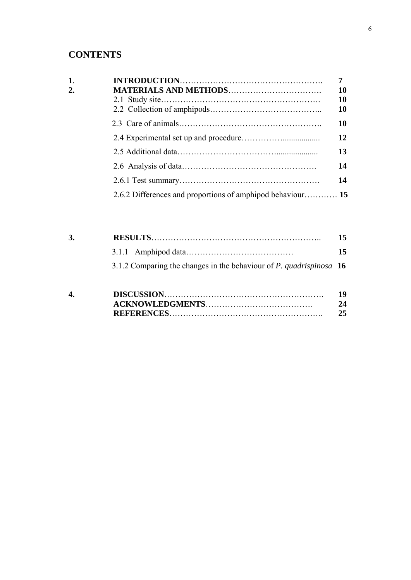# **CONTENTS**

| $\mathbf{1}$ |                                                            | 7 <sup>7</sup> |
|--------------|------------------------------------------------------------|----------------|
| 2.           |                                                            | 10             |
|              |                                                            | 10             |
|              |                                                            | 10             |
|              |                                                            | 10             |
|              |                                                            | 12             |
|              |                                                            | 13             |
|              |                                                            | 14             |
|              |                                                            | 14             |
|              | 2.6.2 Differences and proportions of amphipod behaviour 15 |                |

| 3. |                                                                       | 15 |
|----|-----------------------------------------------------------------------|----|
|    |                                                                       | 15 |
|    | 3.1.2 Comparing the changes in the behaviour of P. quadrispinosa $16$ |    |
|    |                                                                       |    |

| 4. |  |
|----|--|
|    |  |
|    |  |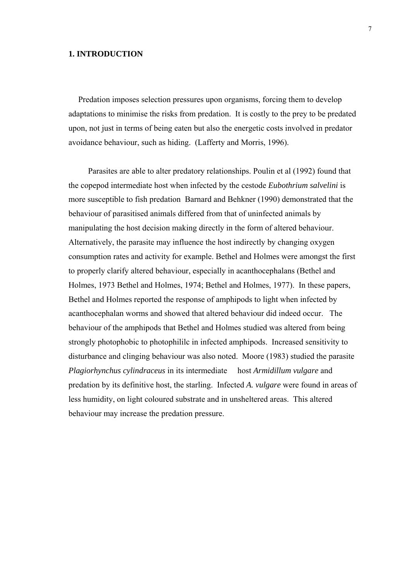# **1. INTRODUCTION**

Predation imposes selection pressures upon organisms, forcing them to develop adaptations to minimise the risks from predation. It is costly to the prey to be predated upon, not just in terms of being eaten but also the energetic costs involved in predator avoidance behaviour, such as hiding. (Lafferty and Morris, 1996).

Parasites are able to alter predatory relationships. Poulin et al (1992) found that the copepod intermediate host when infected by the cestode *Eubothrium salvelini* is more susceptible to fish predation Barnard and Behkner (1990) demonstrated that the behaviour of parasitised animals differed from that of uninfected animals by manipulating the host decision making directly in the form of altered behaviour. Alternatively, the parasite may influence the host indirectly by changing oxygen consumption rates and activity for example. Bethel and Holmes were amongst the first to properly clarify altered behaviour, especially in acanthocephalans (Bethel and Holmes, 1973 Bethel and Holmes, 1974; Bethel and Holmes, 1977). In these papers, Bethel and Holmes reported the response of amphipods to light when infected by acanthocephalan worms and showed that altered behaviour did indeed occur. The behaviour of the amphipods that Bethel and Holmes studied was altered from being strongly photophobic to photophililc in infected amphipods. Increased sensitivity to disturbance and clinging behaviour was also noted. Moore (1983) studied the parasite *Plagiorhynchus cylindraceus* in its intermediate host *Armidillum vulgare* and predation by its definitive host, the starling. Infected *A. vulgare* were found in areas of less humidity, on light coloured substrate and in unsheltered areas. This altered behaviour may increase the predation pressure.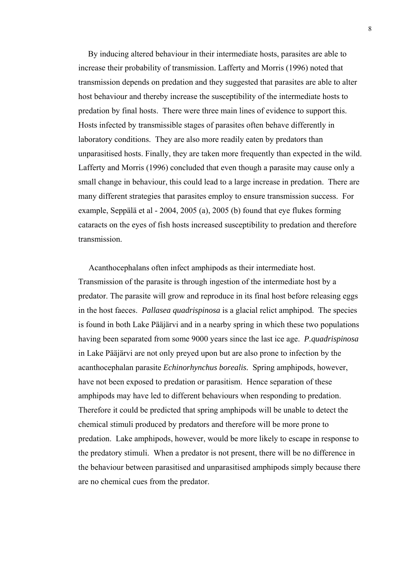By inducing altered behaviour in their intermediate hosts, parasites are able to increase their probability of transmission. Lafferty and Morris (1996) noted that transmission depends on predation and they suggested that parasites are able to alter host behaviour and thereby increase the susceptibility of the intermediate hosts to predation by final hosts. There were three main lines of evidence to support this. Hosts infected by transmissible stages of parasites often behave differently in laboratory conditions. They are also more readily eaten by predators than unparasitised hosts. Finally, they are taken more frequently than expected in the wild. Lafferty and Morris (1996) concluded that even though a parasite may cause only a small change in behaviour, this could lead to a large increase in predation. There are many different strategies that parasites employ to ensure transmission success. For example, Seppälä et al - 2004, 2005 (a), 2005 (b) found that eye flukes forming cataracts on the eyes of fish hosts increased susceptibility to predation and therefore transmission.

 Acanthocephalans often infect amphipods as their intermediate host. Transmission of the parasite is through ingestion of the intermediate host by a predator. The parasite will grow and reproduce in its final host before releasing eggs in the host faeces. *Pallasea quadrispinosa* is a glacial relict amphipod. The species is found in both Lake Pääjärvi and in a nearby spring in which these two populations having been separated from some 9000 years since the last ice age. *P.quadrispinosa*  in Lake Pääjärvi are not only preyed upon but are also prone to infection by the acanthocephalan parasite *Echinorhynchus borealis.* Spring amphipods, however, have not been exposed to predation or parasitism. Hence separation of these amphipods may have led to different behaviours when responding to predation. Therefore it could be predicted that spring amphipods will be unable to detect the chemical stimuli produced by predators and therefore will be more prone to predation. Lake amphipods, however, would be more likely to escape in response to the predatory stimuli. When a predator is not present, there will be no difference in the behaviour between parasitised and unparasitised amphipods simply because there are no chemical cues from the predator.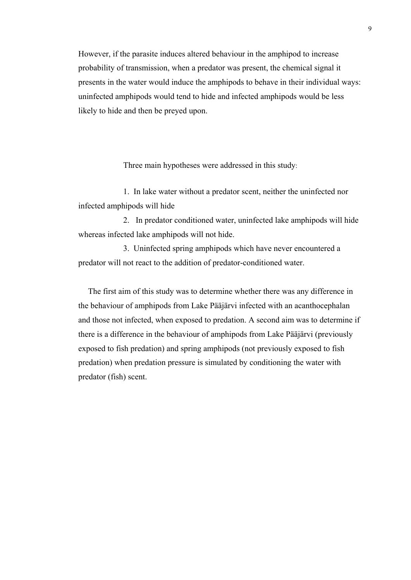However, if the parasite induces altered behaviour in the amphipod to increase probability of transmission, when a predator was present, the chemical signal it presents in the water would induce the amphipods to behave in their individual ways: uninfected amphipods would tend to hide and infected amphipods would be less likely to hide and then be preyed upon.

Three main hypotheses were addressed in this study:

1. In lake water without a predator scent, neither the uninfected nor infected amphipods will hide

2. In predator conditioned water, uninfected lake amphipods will hide whereas infected lake amphipods will not hide.

3. Uninfected spring amphipods which have never encountered a predator will not react to the addition of predator-conditioned water.

The first aim of this study was to determine whether there was any difference in the behaviour of amphipods from Lake Pääjärvi infected with an acanthocephalan and those not infected, when exposed to predation. A second aim was to determine if there is a difference in the behaviour of amphipods from Lake Pääjärvi (previously exposed to fish predation) and spring amphipods (not previously exposed to fish predation) when predation pressure is simulated by conditioning the water with predator (fish) scent.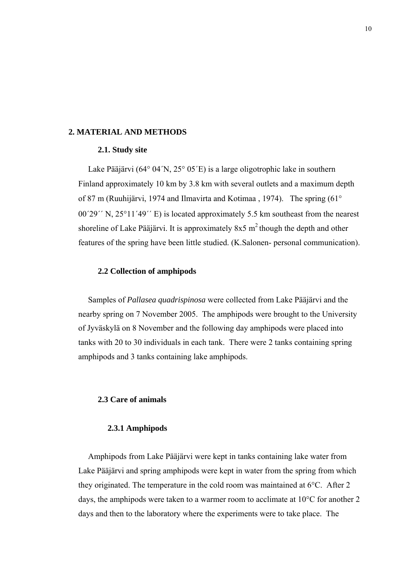### **2. MATERIAL AND METHODS**

#### **2.1. Study site**

Lake Pääjärvi (64° 04´N, 25° 05´E) is a large oligotrophic lake in southern Finland approximately 10 km by 3.8 km with several outlets and a maximum depth of 87 m (Ruuhijärvi, 1974 and Ilmavirta and Kotimaa , 1974). The spring (61° 00´29´´ N, 25°11´49´´ E) is located approximately 5.5 km southeast from the nearest shoreline of Lake Pääjärvi. It is approximately  $8x5 \text{ m}^2$  though the depth and other features of the spring have been little studied. (K.Salonen- personal communication).

#### **2.2 Collection of amphipods**

Samples of *Pallasea quadrispinosa* were collected from Lake Pääjärvi and the nearby spring on 7 November 2005. The amphipods were brought to the University of Jyväskylä on 8 November and the following day amphipods were placed into tanks with 20 to 30 individuals in each tank. There were 2 tanks containing spring amphipods and 3 tanks containing lake amphipods.

# **2.3 Care of animals**

#### **2.3.1 Amphipods**

Amphipods from Lake Pääjärvi were kept in tanks containing lake water from Lake Pääjärvi and spring amphipods were kept in water from the spring from which they originated. The temperature in the cold room was maintained at 6°C. After 2 days, the amphipods were taken to a warmer room to acclimate at 10°C for another 2 days and then to the laboratory where the experiments were to take place. The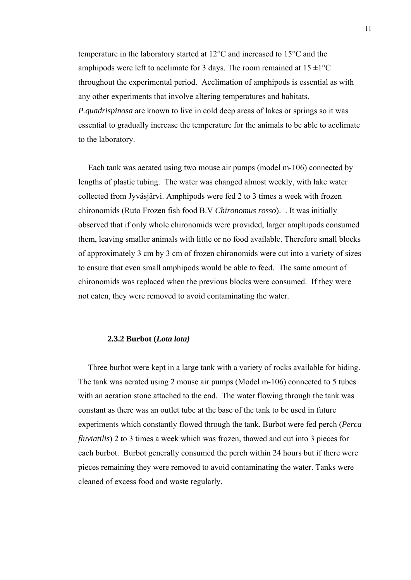temperature in the laboratory started at 12°C and increased to 15°C and the amphipods were left to acclimate for 3 days. The room remained at  $15 \pm 1^{\circ}$ C throughout the experimental period. Acclimation of amphipods is essential as with any other experiments that involve altering temperatures and habitats. *P.quadrispinosa* are known to live in cold deep areas of lakes or springs so it was essential to gradually increase the temperature for the animals to be able to acclimate to the laboratory.

Each tank was aerated using two mouse air pumps (model m-106) connected by lengths of plastic tubing. The water was changed almost weekly, with lake water collected from Jyväsjärvi. Amphipods were fed 2 to 3 times a week with frozen chironomids (Ruto Frozen fish food B.V *Chironomus rosso*). . It was initially observed that if only whole chironomids were provided, larger amphipods consumed them, leaving smaller animals with little or no food available. Therefore small blocks of approximately 3 cm by 3 cm of frozen chironomids were cut into a variety of sizes to ensure that even small amphipods would be able to feed. The same amount of chironomids was replaced when the previous blocks were consumed. If they were not eaten, they were removed to avoid contaminating the water.

#### **2.3.2 Burbot (***Lota lota)*

Three burbot were kept in a large tank with a variety of rocks available for hiding. The tank was aerated using 2 mouse air pumps (Model m-106) connected to 5 tubes with an aeration stone attached to the end. The water flowing through the tank was constant as there was an outlet tube at the base of the tank to be used in future experiments which constantly flowed through the tank. Burbot were fed perch (*Perca fluviatilis*) 2 to 3 times a week which was frozen, thawed and cut into 3 pieces for each burbot. Burbot generally consumed the perch within 24 hours but if there were pieces remaining they were removed to avoid contaminating the water. Tanks were cleaned of excess food and waste regularly.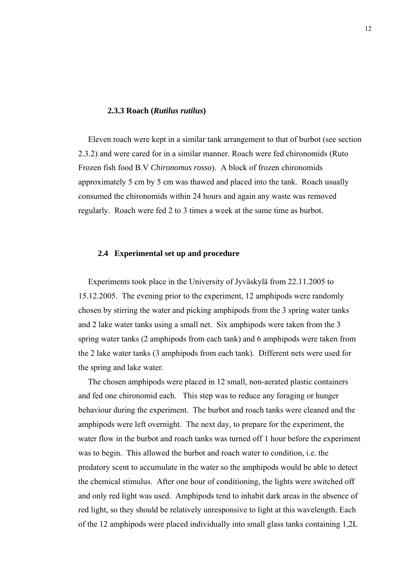#### **2.3.3 Roach (***Rutilus rutilus***)**

Eleven roach were kept in a similar tank arrangement to that of burbot (see section 2.3.2) and were cared for in a similar manner. Roach were fed chironomids (Ruto Frozen fish food B.V *Chironomus rosso*). A block of frozen chironomids approximately 5 cm by 5 cm was thawed and placed into the tank. Roach usually consumed the chironomids within 24 hours and again any waste was removed regularly. Roach were fed 2 to 3 times a week at the same time as burbot.

#### **2.4 Experimental set up and procedure**

Experiments took place in the University of Jyväskylä from 22.11.2005 to 15.12.2005. The evening prior to the experiment, 12 amphipods were randomly chosen by stirring the water and picking amphipods from the 3 spring water tanks and 2 lake water tanks using a small net. Six amphipods were taken from the 3 spring water tanks (2 amphipods from each tank) and 6 amphipods were taken from the 2 lake water tanks (3 amphipods from each tank). Different nets were used for the spring and lake water.

The chosen amphipods were placed in 12 small, non-aerated plastic containers and fed one chironomid each. This step was to reduce any foraging or hunger behaviour during the experiment. The burbot and roach tanks were cleaned and the amphipods were left overnight. The next day, to prepare for the experiment, the water flow in the burbot and roach tanks was turned off 1 hour before the experiment was to begin. This allowed the burbot and roach water to condition, i.e. the predatory scent to accumulate in the water so the amphipods would be able to detect the chemical stimulus. After one hour of conditioning, the lights were switched off and only red light was used. Amphipods tend to inhabit dark areas in the absence of red light, so they should be relatively unresponsive to light at this wavelength. Each of the 12 amphipods were placed individually into small glass tanks containing 1,2L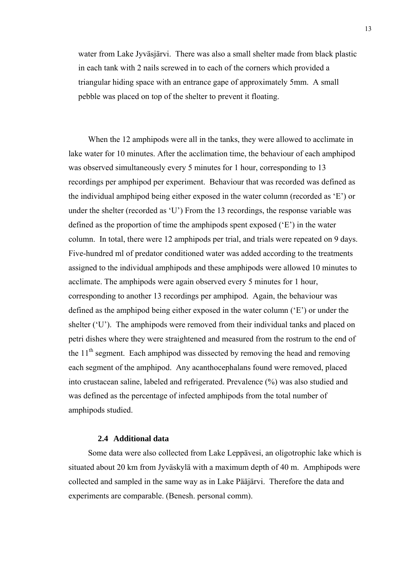water from Lake Jyväsjärvi. There was also a small shelter made from black plastic in each tank with 2 nails screwed in to each of the corners which provided a triangular hiding space with an entrance gape of approximately 5mm. A small pebble was placed on top of the shelter to prevent it floating.

When the 12 amphipods were all in the tanks, they were allowed to acclimate in lake water for 10 minutes. After the acclimation time, the behaviour of each amphipod was observed simultaneously every 5 minutes for 1 hour, corresponding to 13 recordings per amphipod per experiment. Behaviour that was recorded was defined as the individual amphipod being either exposed in the water column (recorded as 'E') or under the shelter (recorded as 'U') From the 13 recordings, the response variable was defined as the proportion of time the amphipods spent exposed ('E') in the water column. In total, there were 12 amphipods per trial, and trials were repeated on 9 days. Five-hundred ml of predator conditioned water was added according to the treatments assigned to the individual amphipods and these amphipods were allowed 10 minutes to acclimate. The amphipods were again observed every 5 minutes for 1 hour, corresponding to another 13 recordings per amphipod. Again, the behaviour was defined as the amphipod being either exposed in the water column ('E') or under the shelter ('U'). The amphipods were removed from their individual tanks and placed on petri dishes where they were straightened and measured from the rostrum to the end of the  $11<sup>th</sup>$  segment. Each amphipod was dissected by removing the head and removing each segment of the amphipod. Any acanthocephalans found were removed, placed into crustacean saline, labeled and refrigerated. Prevalence (%) was also studied and was defined as the percentage of infected amphipods from the total number of amphipods studied.

#### **2.4 Additional data**

Some data were also collected from Lake Leppävesi, an oligotrophic lake which is situated about 20 km from Jyväskylä with a maximum depth of 40 m. Amphipods were collected and sampled in the same way as in Lake Pääjärvi. Therefore the data and experiments are comparable. (Benesh. personal comm).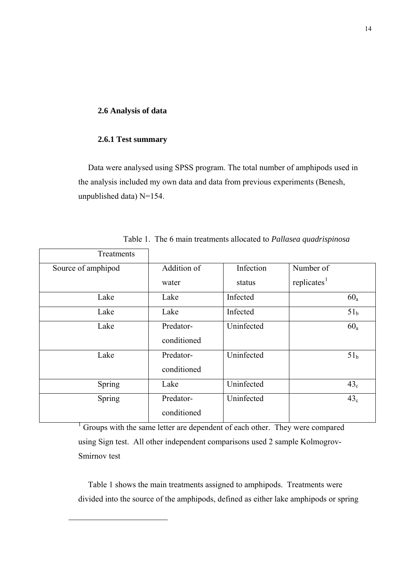# **2.6 Analysis of data**

#### **2.6.1 Test summary**

<span id="page-13-0"></span>l

Data were analysed using SPSS program. The total number of amphipods used in the analysis included my own data and data from previous experiments (Benesh, unpublished data) N=154.

| Treatments         |                          |            |                         |
|--------------------|--------------------------|------------|-------------------------|
| Source of amphipod | Addition of              | Infection  | Number of               |
|                    | water                    | status     | replicates <sup>1</sup> |
| Lake               | Lake                     | Infected   | $60_a$                  |
| Lake               | Lake                     | Infected   | 51 <sub>b</sub>         |
| Lake               | Predator-<br>conditioned | Uninfected | $60_a$                  |
| Lake               | Predator-<br>conditioned | Uninfected | 51 <sub>b</sub>         |
| Spring             | Lake                     | Uninfected | 43 <sub>c</sub>         |
| Spring             | Predator-<br>conditioned | Uninfected | 43 <sub>c</sub>         |

Table 1. The 6 main treatments allocated to *Pallasea quadrispinosa* 

<sup>1</sup> Groups with the same letter are dependent of each other. They were compared using Sign test. All other independent comparisons used 2 sample Kolmogrov-Smirnov test

Table 1 shows the main treatments assigned to amphipods. Treatments were divided into the source of the amphipods, defined as either lake amphipods or spring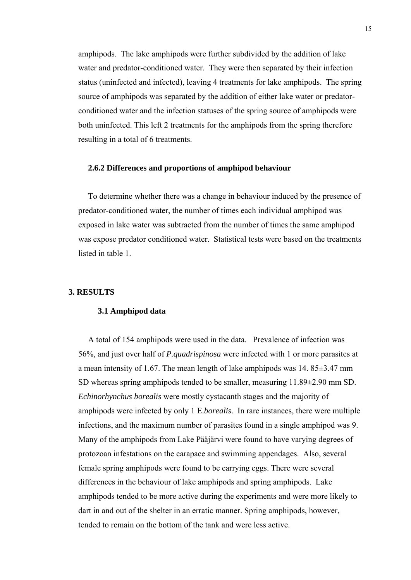amphipods. The lake amphipods were further subdivided by the addition of lake water and predator-conditioned water. They were then separated by their infection status (uninfected and infected), leaving 4 treatments for lake amphipods. The spring source of amphipods was separated by the addition of either lake water or predatorconditioned water and the infection statuses of the spring source of amphipods were both uninfected. This left 2 treatments for the amphipods from the spring therefore resulting in a total of 6 treatments.

#### **2.6.2 Differences and proportions of amphipod behaviour**

To determine whether there was a change in behaviour induced by the presence of predator-conditioned water, the number of times each individual amphipod was exposed in lake water was subtracted from the number of times the same amphipod was expose predator conditioned water. Statistical tests were based on the treatments listed in table 1.

#### **3. RESULTS**

#### **3.1 Amphipod data**

A total of 154 amphipods were used in the data. Prevalence of infection was 56%, and just over half of *P.quadrispinosa* were infected with 1 or more parasites at a mean intensity of 1.67. The mean length of lake amphipods was 14. 85±3.47 mm SD whereas spring amphipods tended to be smaller, measuring 11.89±2.90 mm SD. *Echinorhynchus borealis* were mostly cystacanth stages and the majority of amphipods were infected by only 1 E.*borealis*. In rare instances, there were multiple infections, and the maximum number of parasites found in a single amphipod was 9. Many of the amphipods from Lake Pääjärvi were found to have varying degrees of protozoan infestations on the carapace and swimming appendages. Also, several female spring amphipods were found to be carrying eggs. There were several differences in the behaviour of lake amphipods and spring amphipods. Lake amphipods tended to be more active during the experiments and were more likely to dart in and out of the shelter in an erratic manner. Spring amphipods, however, tended to remain on the bottom of the tank and were less active.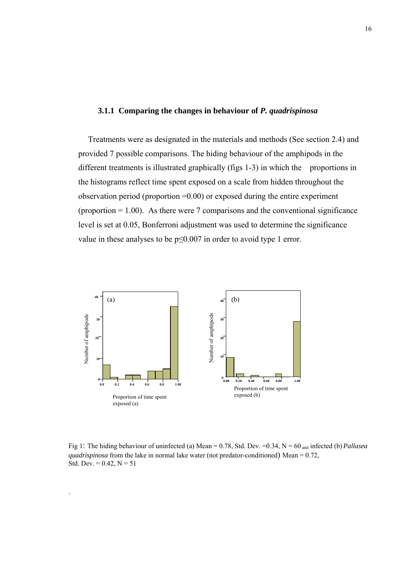# **3.1.1 Comparing the changes in behaviour of** *P. quadrispinosa*

Treatments were as designated in the materials and methods (See section 2.4) and provided 7 possible comparisons. The hiding behaviour of the amphipods in the different treatments is illustrated graphically (figs 1-3) in which the proportions in the histograms reflect time spent exposed on a scale from hidden throughout the observation period (proportion =0.00) or exposed during the entire experiment (proportion  $= 1.00$ ). As there were 7 comparisons and the conventional significance level is set at 0.05, Bonferroni adjustment was used to determine the significance value in these analyses to be  $p \le 0.007$  in order to avoid type 1 error.



.

Fig 1: The hiding behaviour of uninfected (a) Mean = 0.78, Std. Dev. =0.34, N = 60 and infected (b) *Pallasea quadrispinosa* from the lake in normal lake water (not predator-conditioned) Mean = 0.72, Std. Dev. = 0.42,  $N = 51$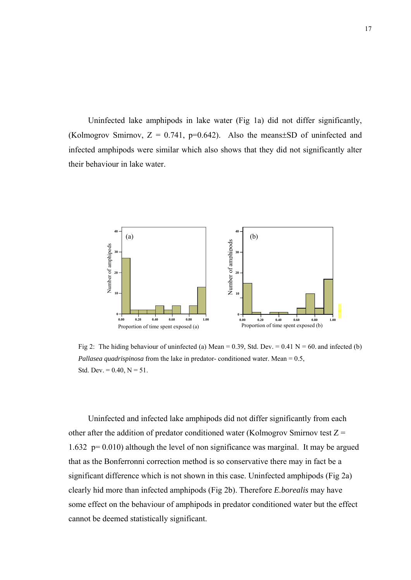Uninfected lake amphipods in lake water (Fig 1a) did not differ significantly, (Kolmogrov Smirnov,  $Z = 0.741$ , p=0.642). Also the means $\pm$ SD of uninfected and infected amphipods were similar which also shows that they did not significantly alter their behaviour in lake water.



Fig 2: The hiding behaviour of uninfected (a) Mean = 0.39, Std. Dev. = 0.41 N = 60, and infected (b) *Pallasea quadrispinosa* from the lake in predator- conditioned water. Mean = 0.5, Std. Dev. =  $0.40$ , N =  $51$ .

Uninfected and infected lake amphipods did not differ significantly from each other after the addition of predator conditioned water (Kolmogrov Smirnov test  $Z =$ 1.632 p= 0.010) although the level of non significance was marginal. It may be argued that as the Bonferronni correction method is so conservative there may in fact be a significant difference which is not shown in this case. Uninfected amphipods (Fig 2a) clearly hid more than infected amphipods (Fig 2b). Therefore *E.borealis* may have some effect on the behaviour of amphipods in predator conditioned water but the effect cannot be deemed statistically significant.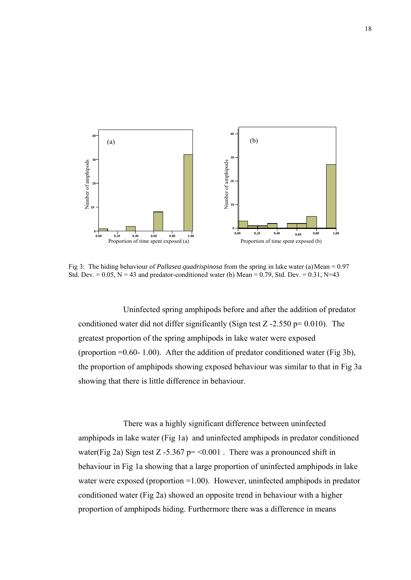

Fig 3: The hiding behaviour of *Pallasea quadrispinosa* from the spring in lake water (a)Mean = 0.97 Std. Dev. =  $0.05$ , N = 43 and predator-conditioned water (b) Mean = 0.79, Std. Dev. =  $0.31$ , N=43.

Uninfected spring amphipods before and after the addition of predator conditioned water did not differ significantly (Sign test  $Z - 2.550$  p= 0.010). The greatest proportion of the spring amphipods in lake water were exposed (proportion  $=0.60 - 1.00$ ). After the addition of predator conditioned water (Fig 3b), the proportion of amphipods showing exposed behaviour was similar to that in Fig 3a showing that there is little difference in behaviour.

There was a highly significant difference between uninfected amphipods in lake water (Fig 1a) and uninfected amphipods in predator conditioned water(Fig 2a) Sign test Z -5.367 p=  $\leq$  0.001. There was a pronounced shift in behaviour in Fig 1a showing that a large proportion of uninfected amphipods in lake water were exposed (proportion =1.00). However, uninfected amphipods in predator conditioned water (Fig 2a) showed an opposite trend in behaviour with a higher proportion of amphipods hiding. Furthermore there was a difference in means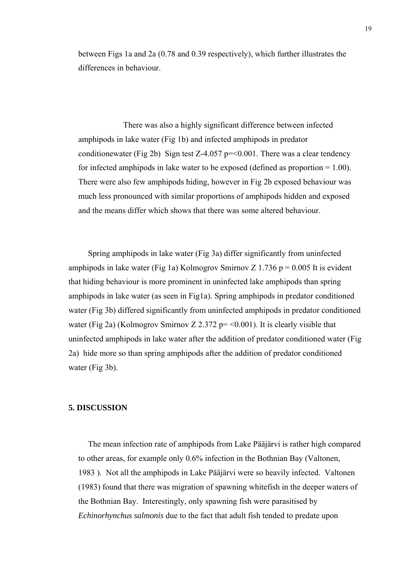between Figs 1a and 2a (0.78 and 0.39 respectively), which further illustrates the differences in behaviour.

There was also a highly significant difference between infected amphipods in lake water (Fig 1b) and infected amphipods in predator conditionewater (Fig 2b) Sign test Z-4.057 p=  $0.001$ . There was a clear tendency for infected amphipods in lake water to be exposed (defined as proportion  $= 1.00$ ). There were also few amphipods hiding, however in Fig 2b exposed behaviour was much less pronounced with similar proportions of amphipods hidden and exposed and the means differ which shows that there was some altered behaviour.

Spring amphipods in lake water (Fig 3a) differ significantly from uninfected amphipods in lake water (Fig 1a) Kolmogrov Smirnov Z 1.736 p =  $0.005$  It is evident that hiding behaviour is more prominent in uninfected lake amphipods than spring amphipods in lake water (as seen in Fig1a). Spring amphipods in predator conditioned water (Fig 3b) differed significantly from uninfected amphipods in predator conditioned water (Fig 2a) (Kolmogrov Smirnov Z 2.372 p= <0.001). It is clearly visible that uninfected amphipods in lake water after the addition of predator conditioned water (Fig 2a) hide more so than spring amphipods after the addition of predator conditioned water (Fig 3b).

#### **5. DISCUSSION**

The mean infection rate of amphipods from Lake Pääjärvi is rather high compared to other areas, for example only 0.6% infection in the Bothnian Bay (Valtonen, 1983 ). Not all the amphipods in Lake Pääjärvi were so heavily infected. Valtonen (1983) found that there was migration of spawning whitefish in the deeper waters of the Bothnian Bay. Interestingly, only spawning fish were parasitised by *Echinorhynchus salmonis* due to the fact that adult fish tended to predate upon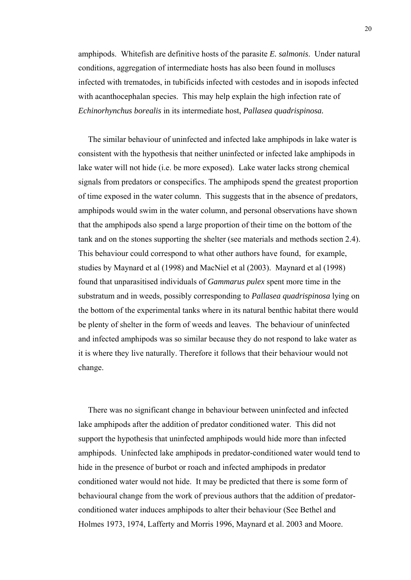amphipods. Whitefish are definitive hosts of the parasite *E. salmonis*. Under natural conditions, aggregation of intermediate hosts has also been found in molluscs infected with trematodes, in tubificids infected with cestodes and in isopods infected with acanthocephalan species. This may help explain the high infection rate of *Echinorhynchus borealis* in its intermediate host, *Pallasea quadrispinosa.* 

The similar behaviour of uninfected and infected lake amphipods in lake water is consistent with the hypothesis that neither uninfected or infected lake amphipods in lake water will not hide (i.e. be more exposed). Lake water lacks strong chemical signals from predators or conspecifics. The amphipods spend the greatest proportion of time exposed in the water column. This suggests that in the absence of predators, amphipods would swim in the water column, and personal observations have shown that the amphipods also spend a large proportion of their time on the bottom of the tank and on the stones supporting the shelter (see materials and methods section 2.4). This behaviour could correspond to what other authors have found, for example, studies by Maynard et al (1998) and MacNiel et al (2003). Maynard et al (1998) found that unparasitised individuals of *Gammarus pulex* spent more time in the substratum and in weeds, possibly corresponding to *Pallasea quadrispinosa* lying on the bottom of the experimental tanks where in its natural benthic habitat there would be plenty of shelter in the form of weeds and leaves. The behaviour of uninfected and infected amphipods was so similar because they do not respond to lake water as it is where they live naturally. Therefore it follows that their behaviour would not change.

There was no significant change in behaviour between uninfected and infected lake amphipods after the addition of predator conditioned water. This did not support the hypothesis that uninfected amphipods would hide more than infected amphipods. Uninfected lake amphipods in predator-conditioned water would tend to hide in the presence of burbot or roach and infected amphipods in predator conditioned water would not hide. It may be predicted that there is some form of behavioural change from the work of previous authors that the addition of predatorconditioned water induces amphipods to alter their behaviour (See Bethel and Holmes 1973, 1974, Lafferty and Morris 1996, Maynard et al. 2003 and Moore.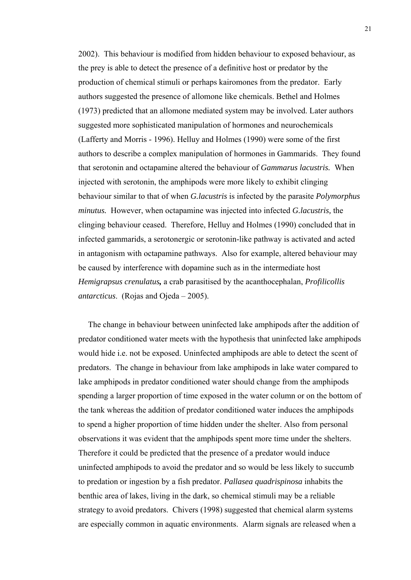2002). This behaviour is modified from hidden behaviour to exposed behaviour, as the prey is able to detect the presence of a definitive host or predator by the production of chemical stimuli or perhaps kairomones from the predator. Early authors suggested the presence of allomone like chemicals. Bethel and Holmes (1973) predicted that an allomone mediated system may be involved. Later authors suggested more sophisticated manipulation of hormones and neurochemicals (Lafferty and Morris - 1996). Helluy and Holmes (1990) were some of the first authors to describe a complex manipulation of hormones in Gammarids. They found that serotonin and octapamine altered the behaviour of *Gammarus lacustris.* When injected with serotonin, the amphipods were more likely to exhibit clinging behaviour similar to that of when *G.lacustris* is infected by the parasite *Polymorphus minutus.* However, when octapamine was injected into infected *G.lacustris,* the clinging behaviour ceased. Therefore, Helluy and Holmes (1990) concluded that in infected gammarids, a serotonergic or serotonin-like pathway is activated and acted in antagonism with octapamine pathways. Also for example, altered behaviour may be caused by interference with dopamine such as in the intermediate host *Hemigrapsus crenulatus,* a crab parasitised by the acanthocephalan, *Profilicollis antarcticus*. (Rojas and Ojeda – 2005).

The change in behaviour between uninfected lake amphipods after the addition of predator conditioned water meets with the hypothesis that uninfected lake amphipods would hide i.e. not be exposed. Uninfected amphipods are able to detect the scent of predators. The change in behaviour from lake amphipods in lake water compared to lake amphipods in predator conditioned water should change from the amphipods spending a larger proportion of time exposed in the water column or on the bottom of the tank whereas the addition of predator conditioned water induces the amphipods to spend a higher proportion of time hidden under the shelter. Also from personal observations it was evident that the amphipods spent more time under the shelters. Therefore it could be predicted that the presence of a predator would induce uninfected amphipods to avoid the predator and so would be less likely to succumb to predation or ingestion by a fish predator. *Pallasea quadrispinosa* inhabits the benthic area of lakes, living in the dark, so chemical stimuli may be a reliable strategy to avoid predators. Chivers (1998) suggested that chemical alarm systems are especially common in aquatic environments. Alarm signals are released when a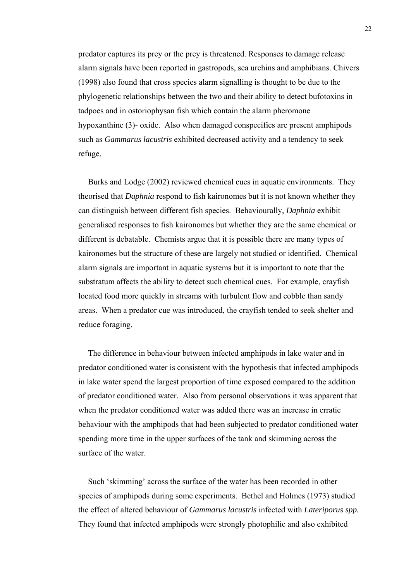predator captures its prey or the prey is threatened. Responses to damage release alarm signals have been reported in gastropods, sea urchins and amphibians. Chivers (1998) also found that cross species alarm signalling is thought to be due to the phylogenetic relationships between the two and their ability to detect bufotoxins in tadpoes and in ostoriophysan fish which contain the alarm pheromone hypoxanthine (3)- oxide. Also when damaged conspecifics are present amphipods such as *Gammarus lacustris* exhibited decreased activity and a tendency to seek refuge.

Burks and Lodge (2002) reviewed chemical cues in aquatic environments. They theorised that *Daphnia* respond to fish kaironomes but it is not known whether they can distinguish between different fish species. Behaviourally, *Daphnia* exhibit generalised responses to fish kaironomes but whether they are the same chemical or different is debatable. Chemists argue that it is possible there are many types of kaironomes but the structure of these are largely not studied or identified. Chemical alarm signals are important in aquatic systems but it is important to note that the substratum affects the ability to detect such chemical cues. For example, crayfish located food more quickly in streams with turbulent flow and cobble than sandy areas. When a predator cue was introduced, the crayfish tended to seek shelter and reduce foraging.

The difference in behaviour between infected amphipods in lake water and in predator conditioned water is consistent with the hypothesis that infected amphipods in lake water spend the largest proportion of time exposed compared to the addition of predator conditioned water. Also from personal observations it was apparent that when the predator conditioned water was added there was an increase in erratic behaviour with the amphipods that had been subjected to predator conditioned water spending more time in the upper surfaces of the tank and skimming across the surface of the water.

Such 'skimming' across the surface of the water has been recorded in other species of amphipods during some experiments. Bethel and Holmes (1973) studied the effect of altered behaviour of *Gammarus lacustris* infected with *Lateriporus spp.*  They found that infected amphipods were strongly photophilic and also exhibited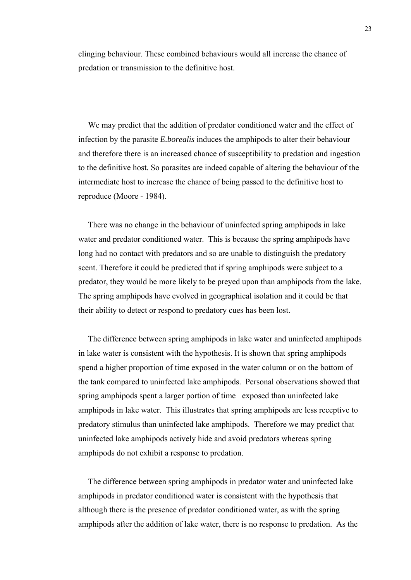clinging behaviour. These combined behaviours would all increase the chance of predation or transmission to the definitive host.

We may predict that the addition of predator conditioned water and the effect of infection by the parasite *E.borealis* induces the amphipods to alter their behaviour and therefore there is an increased chance of susceptibility to predation and ingestion to the definitive host. So parasites are indeed capable of altering the behaviour of the intermediate host to increase the chance of being passed to the definitive host to reproduce (Moore - 1984).

There was no change in the behaviour of uninfected spring amphipods in lake water and predator conditioned water. This is because the spring amphipods have long had no contact with predators and so are unable to distinguish the predatory scent. Therefore it could be predicted that if spring amphipods were subject to a predator, they would be more likely to be preyed upon than amphipods from the lake. The spring amphipods have evolved in geographical isolation and it could be that their ability to detect or respond to predatory cues has been lost.

The difference between spring amphipods in lake water and uninfected amphipods in lake water is consistent with the hypothesis. It is shown that spring amphipods spend a higher proportion of time exposed in the water column or on the bottom of the tank compared to uninfected lake amphipods. Personal observations showed that spring amphipods spent a larger portion of time exposed than uninfected lake amphipods in lake water. This illustrates that spring amphipods are less receptive to predatory stimulus than uninfected lake amphipods. Therefore we may predict that uninfected lake amphipods actively hide and avoid predators whereas spring amphipods do not exhibit a response to predation.

The difference between spring amphipods in predator water and uninfected lake amphipods in predator conditioned water is consistent with the hypothesis that although there is the presence of predator conditioned water, as with the spring amphipods after the addition of lake water, there is no response to predation. As the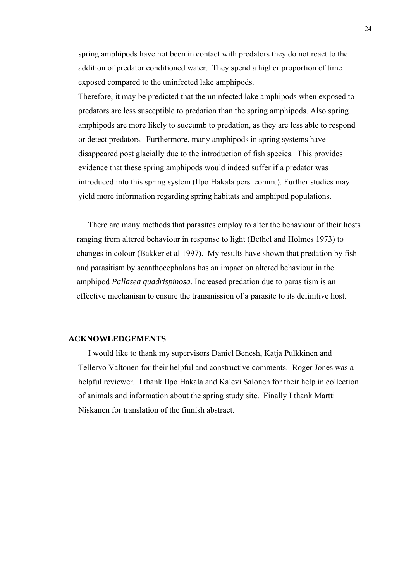spring amphipods have not been in contact with predators they do not react to the addition of predator conditioned water. They spend a higher proportion of time exposed compared to the uninfected lake amphipods.

Therefore, it may be predicted that the uninfected lake amphipods when exposed to predators are less susceptible to predation than the spring amphipods. Also spring amphipods are more likely to succumb to predation, as they are less able to respond or detect predators. Furthermore, many amphipods in spring systems have disappeared post glacially due to the introduction of fish species. This provides evidence that these spring amphipods would indeed suffer if a predator was introduced into this spring system (Ilpo Hakala pers. comm.). Further studies may yield more information regarding spring habitats and amphipod populations.

There are many methods that parasites employ to alter the behaviour of their hosts ranging from altered behaviour in response to light (Bethel and Holmes 1973) to changes in colour (Bakker et al 1997). My results have shown that predation by fish and parasitism by acanthocephalans has an impact on altered behaviour in the amphipod *Pallasea quadrispinosa.* Increased predation due to parasitism is an effective mechanism to ensure the transmission of a parasite to its definitive host.

#### **ACKNOWLEDGEMENTS**

I would like to thank my supervisors Daniel Benesh, Katja Pulkkinen and Tellervo Valtonen for their helpful and constructive comments. Roger Jones was a helpful reviewer. I thank Ilpo Hakala and Kalevi Salonen for their help in collection of animals and information about the spring study site. Finally I thank Martti Niskanen for translation of the finnish abstract.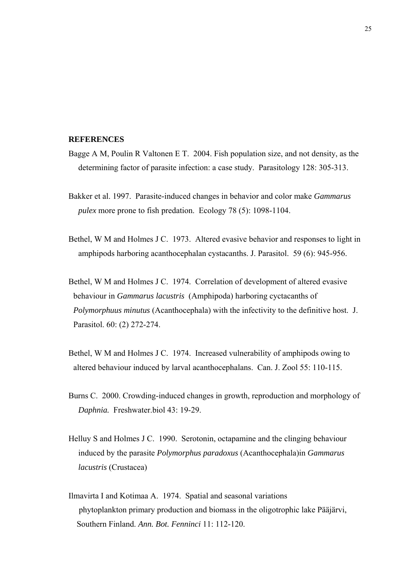#### **REFERENCES**

- Bagge A M, Poulin R Valtonen E T. 2004. Fish population size, and not density, as the determining factor of parasite infection: a case study. Parasitology 128: 305-313.
- Bakker et al. 1997. Parasite-induced changes in behavior and color make *Gammarus pulex* more prone to fish predation. Ecology 78 (5): 1098-1104.
- Bethel, W M and Holmes J C. 1973. Altered evasive behavior and responses to light in amphipods harboring acanthocephalan cystacanths. J. Parasitol. 59 (6): 945-956.
- Bethel, W M and Holmes J C. 1974. Correlation of development of altered evasive behaviour in *Gammarus lacustris* (Amphipoda) harboring cyctacanths of *Polymorphuus minutus* (Acanthocephala) with the infectivity to the definitive host. J. Parasitol. 60: (2) 272-274.
- Bethel, W M and Holmes J C. 1974. Increased vulnerability of amphipods owing to altered behaviour induced by larval acanthocephalans. Can. J. Zool 55: 110-115.
- Burns C. 2000. Crowding-induced changes in growth, reproduction and morphology of *Daphnia.* Freshwater.biol 43: 19-29.
- Helluy S and Holmes J C. 1990. Serotonin, octapamine and the clinging behaviour induced by the parasite *Polymorphus paradoxus* (Acanthocephala)in *Gammarus lacustris* (Crustacea)
- Ilmavirta I and Kotimaa A. 1974. Spatial and seasonal variations phytoplankton primary production and biomass in the oligotrophic lake Pääjärvi, Southern Finland. *Ann. Bot. Fenninci* 11: 112-120.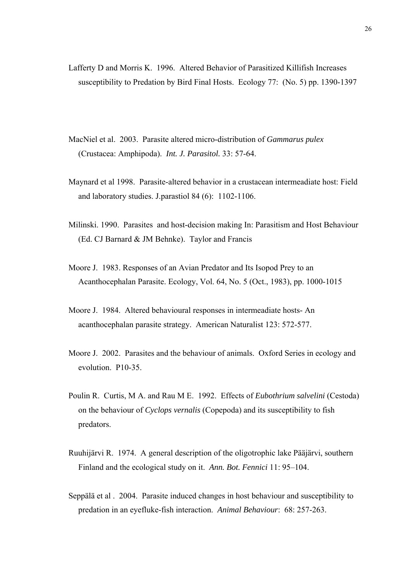- Lafferty D and Morris K. 1996. Altered Behavior of Parasitized Killifish Increases susceptibility to Predation by Bird Final Hosts. Ecology 77: (No. 5) pp. 1390-1397
- MacNiel et al. 2003. Parasite altered micro-distribution of *Gammarus pulex*  (Crustacea: Amphipoda). *Int. J. Parasitol.* 33: 57-64.
- Maynard et al 1998. Parasite-altered behavior in a crustacean intermeadiate host: Field and laboratory studies. J.parastiol 84 (6): 1102-1106.
- Milinski. 1990. Parasites and host-decision making In: Parasitism and Host Behaviour (Ed. CJ Barnard & JM Behnke). Taylor and Francis
- Moore J. 1983. Responses of an Avian Predator and Its Isopod Prey to an Acanthocephalan Parasite. Ecology, Vol. 64, No. 5 (Oct., 1983), pp. 1000-1015
- Moore J. 1984. Altered behavioural responses in intermeadiate hosts- An acanthocephalan parasite strategy. American Naturalist 123: 572-577.
- Moore J. 2002. Parasites and the behaviour of animals. Oxford Series in ecology and evolution. P10-35.
- Poulin R. Curtis, M A. and Rau M E. 1992. Effects of *Eubothrium salvelini* (Cestoda) on the behaviour of *Cyclops vernalis* (Copepoda) and its susceptibility to fish predators.
- Ruuhijärvi R. 1974. A general description of the oligotrophic lake Pääjärvi, southern Finland and the ecological study on it. *Ann. Bot. Fennici* 11: 95–104.
- Seppälä et al . 2004. Parasite induced changes in host behaviour and susceptibility to predation in an eyefluke-fish interaction. *Animal Behaviour*: 68: 257-263.